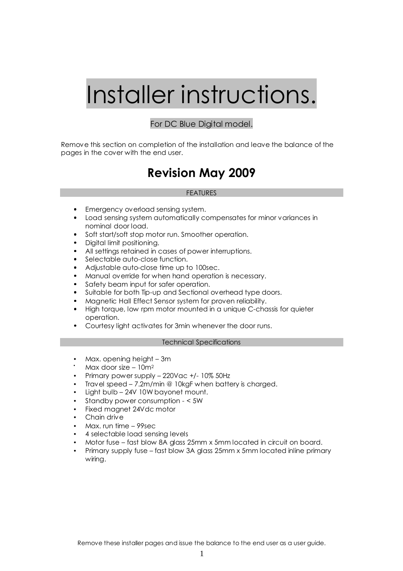# Installer instructions.

#### For DC Blue Digital model.

Remove this section on completion of the installation and leave the balance of the pages in the cover with the end user.

## Revision May 2009

#### **FEATURES**

- Emergency overload sensing system.
- Load sensing system automatically compensates for minor variances in nominal door load.
- Soft start/soft stop motor run. Smoother operation.
- Digital limit positioning.
- All settings retained in cases of power interruptions.
- Selectable auto-close function.
- Adjustable auto-close time up to 100sec.
- Manual override for when hand operation is necessary.
- Safety beam input for safer operation.
- Suitable for both Tip-up and Sectional overhead type doors.
- Magnetic Hall Effect Sensor system for proven reliability.
- High torque, low rpm motor mounted in a unique C-chassis for quieter operation.
- Courtesy light activates for 3min whenever the door runs.

#### Technical Specifications

- Max. opening height 3m
- Max door size  $-10m^2$
- Primary power supply 220Vac +/- 10% 50Hz
- Travel speed 7.2m/min @ 10kgF when battery is charged.
- Light bulb 24V 10W bayonet mount.
- Standby power consumption < 5W
- Fixed magnet 24Vdc motor
- Chain drive
- Max. run time 99sec
- 4 selectable load sensing levels
- Motor fuse fast blow 8A glass 25mm x 5mm located in circuit on board.
- Primary supply fuse fast blow 3A glass 25mm x 5mm located inline primary wiring.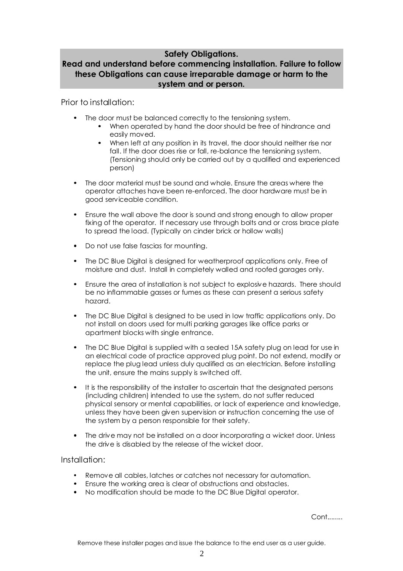## Safety Obligations.

## Read and understand before commencing installation. Failure to follow these Obligations can cause irreparable damage or harm to the system and or person.

Prior to installation:

- The door must be balanced correctly to the tensioning system.
	- When operated by hand the door should be free of hindrance and easily moved.
	- When left at any position in its travel, the door should neither rise nor fall. If the door does rise or fall, re-balance the tensioning system. (Tensioning should only be carried out by a qualified and experienced person)
- The door material must be sound and whole. Ensure the areas where the operator attaches have been re-enforced. The door hardware must be in good serviceable condition.
- Ensure the wall above the door is sound and strong enough to allow proper fixing of the operator. If necessary use through bolts and or cross brace plate to spread the load. (Typically on cinder brick or hollow walls)
- Do not use false fascias for mounting.
- The DC Blue Digital is designed for weatherproof applications only. Free of moisture and dust. Install in completely walled and roofed garages only.
- Ensure the area of installation is not subject to explosive hazards. There should be no inflammable gasses or fumes as these can present a serious safety hazard.
- The DC Blue Digital is designed to be used in low traffic applications only. Do not install on doors used for multi parking garages like office parks or apartment blocks with single entrance.
- The DC Blue Digital is supplied with a sealed 15A safety plug on lead for use in an electrical code of practice approved plug point. Do not extend, modify or replace the plug lead unless duly qualified as an electrician. Before installing the unit, ensure the mains supply is switched off.
- It is the responsibility of the installer to ascertain that the designated persons (including children) intended to use the system, do not suffer reduced physical sensory or mental capabilities, or lack of experience and knowledge, unless they have been given supervision or instruction concerning the use of the system by a person responsible for their safety.
- The drive may not be installed on a door incorporating a wicket door. Unless the drive is disabled by the release of the wicket door.

## Installation:

- Remove all cables, latches or catches not necessary for automation.
- Ensure the working area is clear of obstructions and obstacles.
- No modification should be made to the DC Blue Digital operator.

Cont........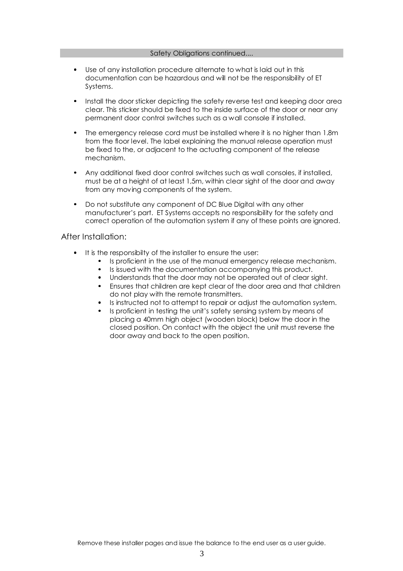#### Safety Obligations continued....

- Use of any installation procedure alternate to what is laid out in this documentation can be hazardous and will not be the responsibility of ET Systems.
- Install the door sticker depicting the safety reverse test and keeping door area clear. This sticker should be fixed to the inside surface of the door or near any permanent door control switches such as a wall console if installed.
- The emergency release cord must be installed where it is no higher than 1.8m from the floor level. The label explaining the manual release operation must be fixed to the, or adjacent to the actuating component of the release mechanism.
- Any additional fixed door control switches such as wall consoles, if installed, must be at a height of at least 1,5m, within clear sight of the door and away from any moving components of the system.
- Do not substitute any component of DC Blue Digital with any other manufacturer's part. ET Systems accepts no responsibility for the safety and correct operation of the automation system if any of these points are ignored.

#### After Installation:

- It is the responsibilty of the installer to ensure the user:
	- Is proficient in the use of the manual emergency release mechanism.
	- Is issued with the documentation accompanying this product.
	- Understands that the door may not be operated out of clear sight.
	- Ensures that children are kept clear of the door area and that children do not play with the remote transmitters.
	- Is instructed not to attempt to repair or adjust the automation system.
	- Is proficient in testing the unit's safety sensing system by means of placing a 40mm high object (wooden block) below the door in the closed position. On contact with the object the unit must reverse the door away and back to the open position.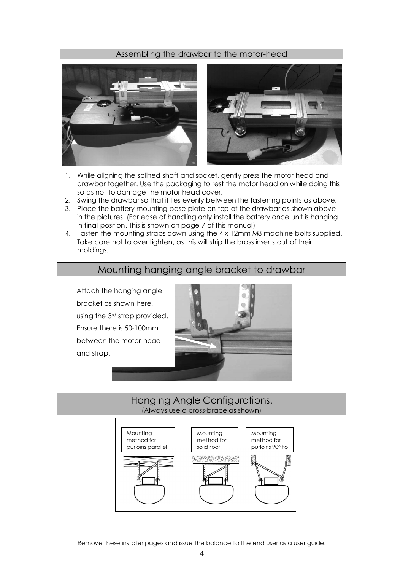#### Assembling the drawbar to the motor-head



- 1. While aligning the splined shaft and socket, gently press the motor head and drawbar together. Use the packaging to rest the motor head on while doing this so as not to damage the motor head cover.
- 2. Swing the drawbar so that it lies evenly between the fastening points as above.
- 3. Place the battery mounting base plate on top of the drawbar as shown above in the pictures. (For ease of handling only install the battery once unit is hanging in final position. This is shown on page 7 of this manual)
- 4. Fasten the mounting straps down using the 4 x 12mm M8 machine bolts supplied. Take care not to over tighten, as this will strip the brass inserts out of their moldings.

## Mounting hanging angle bracket to drawbar

Attach the hanging angle bracket as shown here, using the 3rd strap provided. Ensure there is 50-100mm between the motor-head and strap.



## Hanging Angle Configurations. (Always use a cross-brace as shown)



Remove these installer pages and issue the balance to the end user as a user guide.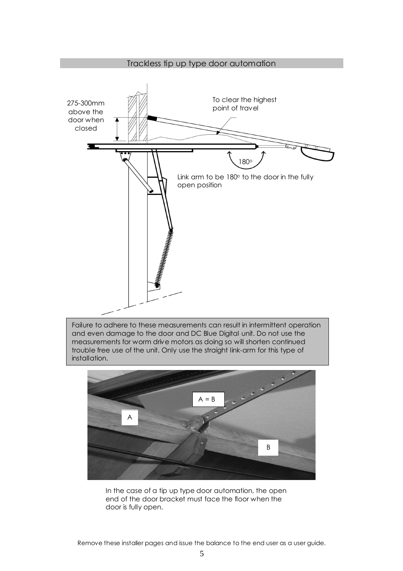

Failure to adhere to these measurements can result in intermittent operation and even damage to the door and DC Blue Digital unit. Do not use the measurements for worm drive motors as doing so will shorten continued trouble free use of the unit. Only use the straight link-arm for this type of installation.



In the case of a tip up type door automation, the open end of the door bracket must face the floor when the door is fully open.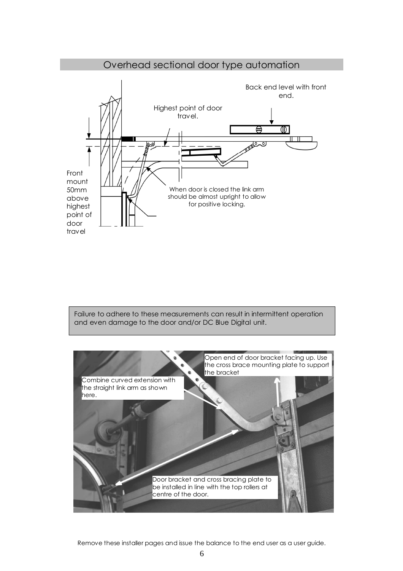

Failure to adhere to these measurements can result in intermittent operation and even damage to the door and/or DC Blue Digital unit.



Remove these installer pages and issue the balance to the end user as a user guide.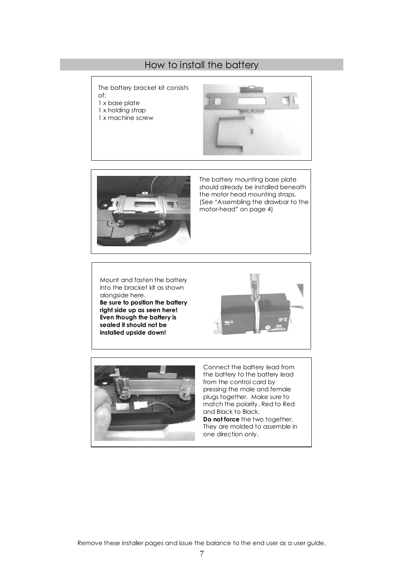## How to install the battery

The battery bracket kit consists of:

- 
- 1 x base plate 1 x holding strap
- 1 x machine screw





The battery mounting base plate should already be installed beneath the motor head mounting straps. (See "Assembling the drawbar to the motor-head" on page 4)

Mount and fasten the battery into the bracket kit as shown alongside here. Be sure to position the battery right side up as seen here! Even though the battery is sealed it should not be installed upside down!





Connect the battery lead from the battery to the battery lead from the control card by pressing the male and female plugs together. Make sure to match the polarity. Red to Red and Black to Black. Do not force the two together. They are molded to assemble in one direction only.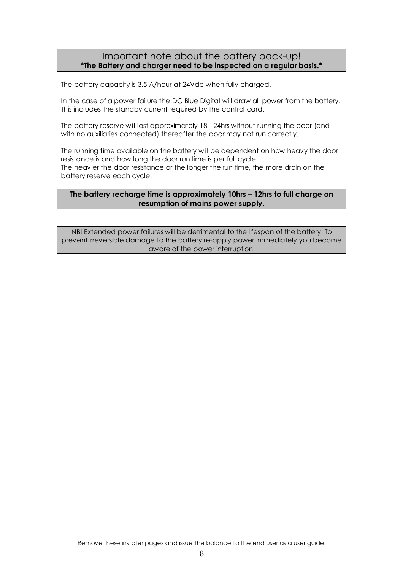## Important note about the battery back-up! \*The Battery and charger need to be inspected on a regular basis.\*

The battery capacity is 3.5 A/hour at 24Vdc when fully charged.

In the case of a power failure the DC Blue Digital will draw all power from the battery. This includes the standby current required by the control card.

The battery reserve will last approximately 18 - 24hrs without running the door (and with no auxiliaries connected) thereafter the door may not run correctly.

The running time available on the battery will be dependent on how heavy the door resistance is and how long the door run time is per full cycle. The heavier the door resistance or the longer the run time, the more drain on the battery reserve each cycle.

#### The battery recharge time is approximately 10hrs – 12hrs to full charge on resumption of mains power supply.

NB! Extended power failures will be detrimental to the lifespan of the battery. To prevent irreversible damage to the battery re-apply power immediately you become aware of the power interruption.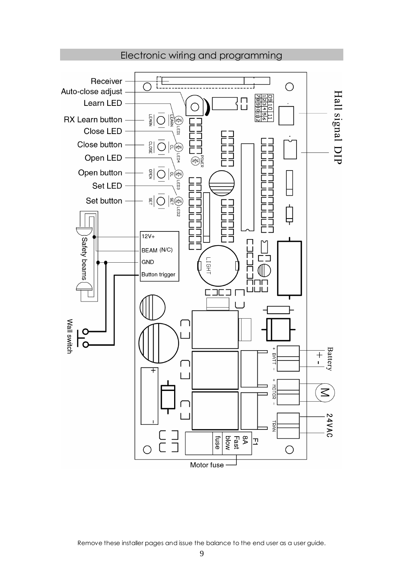

Electronic wiring and programming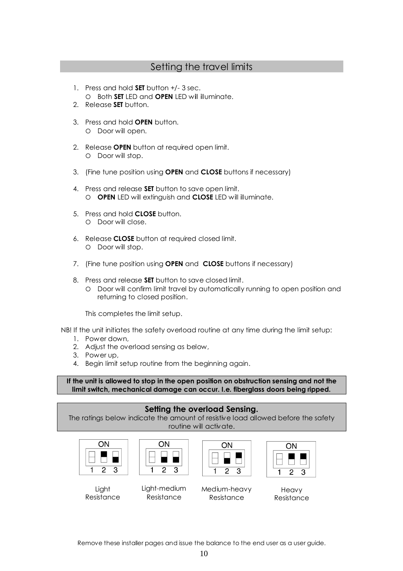## Setting the travel limits

- 1. Press and hold **SET** button +/-3 sec. O Both SET LED and OPEN LED will illuminate.
- 2. Release **SET** button.
- 3. Press and hold OPEN button. O Door will open.
- 2. Release **OPEN** button at required open limit. O Door will stop.
- 3. (Fine tune position using OPEN and CLOSE buttons if necessary)
- 4. Press and release **SET** button to save open limit. O **OPEN** LED will extinguish and **CLOSE** LED will illuminate.
- 5. Press and hold CLOSE button. O Door will close.
- 6. Release CLOSE button at required closed limit. O Door will stop.
- 7. (Fine tune position using **OPEN** and **CLOSE** buttons if necessary)
- 8. Press and release **SET** button to save closed limit.
	- Door will confirm limit travel by automatically running to open position and returning to closed position.

This completes the limit setup.

NB! If the unit initiates the safety overload routine at any time during the limit setup:

- 1. Power down,
- 2. Adjust the overload sensing as below,
- 3. Power up,
- 4. Begin limit setup routine from the beginning again.

If the unit is allowed to stop in the open position on obstruction sensing and not the limit switch, mechanical damage can occur. I.e. fiberglass doors being ripped.

## Setting the overload Sensing.

The ratings below indicate the amount of resistive load allowed before the safety routine will activate.

| N |  |  |  |
|---|--|--|--|
|   |  |  |  |
|   |  |  |  |



Resistance

**Light** Resistance

| Light-medium | Medium-heavv |
|--------------|--------------|

Resistance

ON



Heavy Resistance

Remove these installer pages and issue the balance to the end user as a user guide.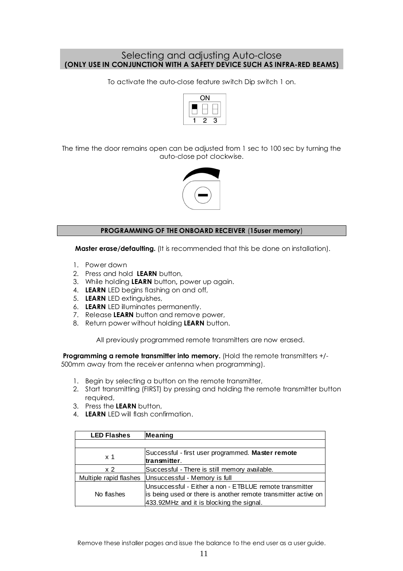## Selecting and adjusting Auto-close (ONLY USE IN CONJUNCTION WITH A SAFETY DEVICE SUCH AS INFRA-RED BEAMS)

To activate the auto-close feature switch Dip switch 1 on.



The time the door remains open can be adjusted from 1 sec to 100 sec by turning the auto-close pot clockwise.



#### PROGRAMMING OF THE ONBOARD RECEIVER (15user memory)

Master erase/defaulting. (It is recommended that this be done on installation).

- 1. Power down
- 2. Press and hold LEARN button,
- 3. While holding LEARN button, power up again.
- 4. LEARN LED begins flashing on and off,
- 5. LEARN LED extinguishes,
- 6. LEARN LED illuminates permanently.
- 7. Release LEARN button and remove power,
- 8. Return power without holding LEARN button.

All previously programmed remote transmitters are now erased.

Programming a remote transmitter into memory. (Hold the remote transmitters +/-500mm away from the receiver antenna when programming).

- 1. Begin by selecting a button on the remote transmitter,
- 2. Start transmitting (FIRST) by pressing and holding the remote transmitter button required,
- 3. Press the LEARN button,
- 4. LEARN LED will flash confirmation.

| <b>LED Flashes</b>     | Meaning                                                                                                                                                               |
|------------------------|-----------------------------------------------------------------------------------------------------------------------------------------------------------------------|
|                        |                                                                                                                                                                       |
| x <sub>1</sub>         | Successful - first user programmed. Master remote<br>transmitter.                                                                                                     |
| x <sub>2</sub>         | Successful - There is still memory available.                                                                                                                         |
| Multiple rapid flashes | Unsuccessful - Memory is full                                                                                                                                         |
| No flashes             | Unsuccessful - Either a non - ETBLUE remote transmitter<br>is being used or there is another remote transmitter active on<br>433.92MHz and it is blocking the signal. |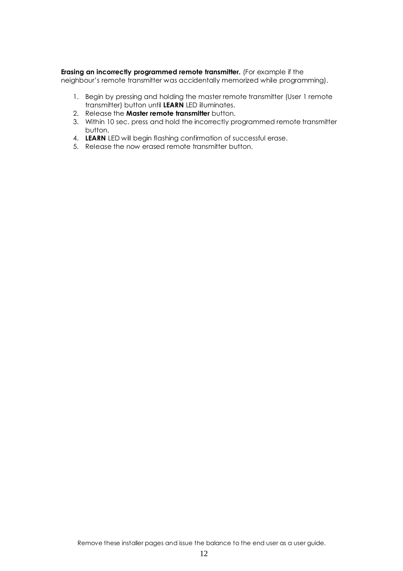#### Erasing an incorrectly programmed remote transmitter. (For example if the

neighbour's remote transmitter was accidentally memorized while programming).

- 1. Begin by pressing and holding the master remote transmitter (User 1 remote transmitter) button until LEARN LED illuminates.
- 2. Release the **Master remote transmitter** button.
- 3. Within 10 sec. press and hold the incorrectly programmed remote transmitter button.
- 4. LEARN LED will begin flashing confirmation of successful erase.
- 5. Release the now erased remote transmitter button.